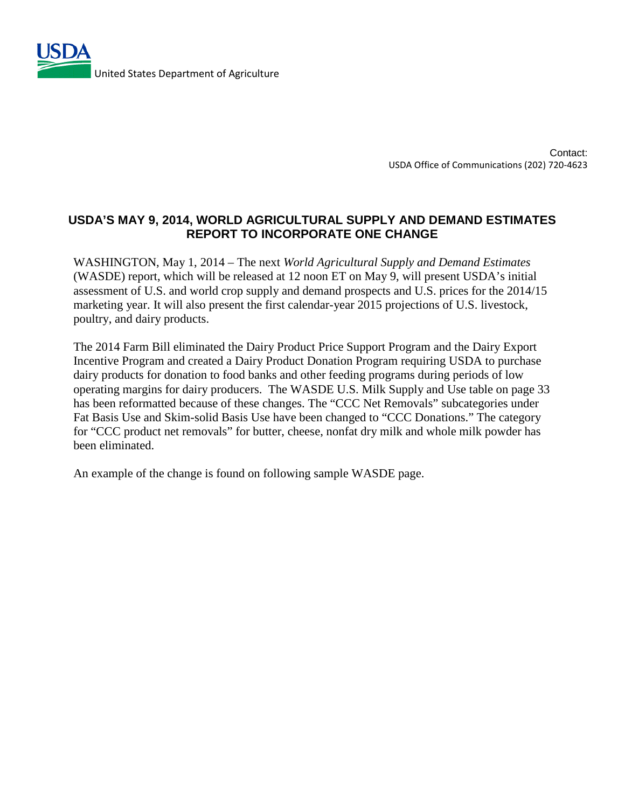

Contact: USDA Office of Communications (202) 720-4623

## **USDA'S MAY 9, 2014, WORLD AGRICULTURAL SUPPLY AND DEMAND ESTIMATES REPORT TO INCORPORATE ONE CHANGE**

WASHINGTON, May 1, 2014 – The next *World Agricultural Supply and Demand Estimates* (WASDE) report, which will be released at 12 noon ET on May 9, will present USDA's initial assessment of U.S. and world crop supply and demand prospects and U.S. prices for the 2014/15 marketing year. It will also present the first calendar-year 2015 projections of U.S. livestock, poultry, and dairy products.

The 2014 Farm Bill eliminated the Dairy Product Price Support Program and the Dairy Export Incentive Program and created a Dairy Product Donation Program requiring USDA to purchase dairy products for donation to food banks and other feeding programs during periods of low operating margins for dairy producers. The WASDE U.S. Milk Supply and Use table on page 33 has been reformatted because of these changes. The "CCC Net Removals" subcategories under Fat Basis Use and Skim-solid Basis Use have been changed to "CCC Donations." The category for "CCC product net removals" for butter, cheese, nonfat dry milk and whole milk powder has been eliminated.

An example of the change is found on following sample WASDE page.